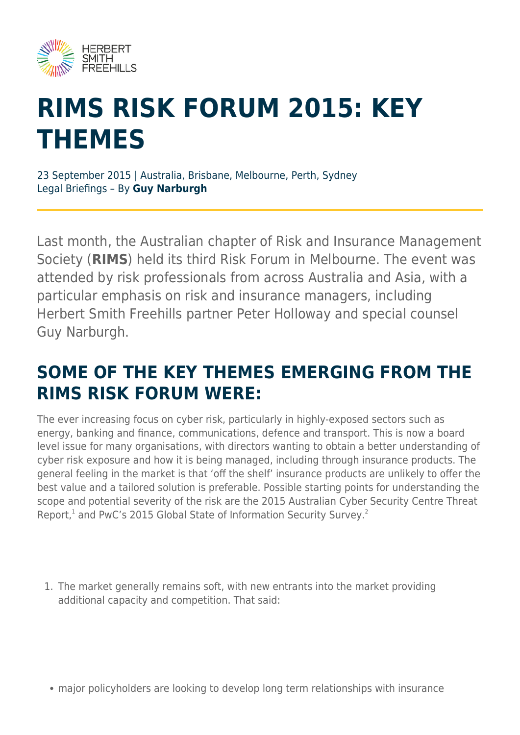

# **RIMS RISK FORUM 2015: KEY THEMES**

23 September 2015 | Australia, Brisbane, Melbourne, Perth, Sydney Legal Briefings – By **Guy Narburgh**

Last month, the Australian chapter of Risk and Insurance Management Society (**RIMS**) held its third Risk Forum in Melbourne. The event was attended by risk professionals from across Australia and Asia, with a particular emphasis on risk and insurance managers, including Herbert Smith Freehills partner Peter Holloway and special counsel Guy Narburgh.

### **SOME OF THE KEY THEMES EMERGING FROM THE RIMS RISK FORUM WERE:**

The ever increasing focus on cyber risk, particularly in highly-exposed sectors such as energy, banking and finance, communications, defence and transport. This is now a board level issue for many organisations, with directors wanting to obtain a better understanding of cyber risk exposure and how it is being managed, including through insurance products. The general feeling in the market is that 'off the shelf' insurance products are unlikely to offer the best value and a tailored solution is preferable. Possible starting points for understanding the scope and potential severity of the risk are the 2015 Australian Cyber Security Centre Threat Report,<sup>1</sup> and PwC's 2015 Global State of Information Security Survey.<sup>2</sup>

1. The market generally remains soft, with new entrants into the market providing additional capacity and competition. That said:

major policyholders are looking to develop long term relationships with insurance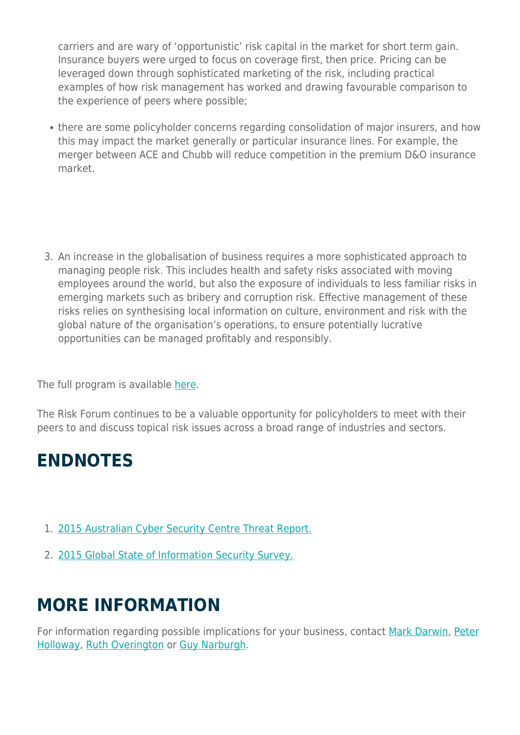carriers and are wary of 'opportunistic' risk capital in the market for short term gain. Insurance buyers were urged to focus on coverage first, then price. Pricing can be leveraged down through sophisticated marketing of the risk, including practical examples of how risk management has worked and drawing favourable comparison to the experience of peers where possible;

• there are some policyholder concerns regarding consolidation of major insurers, and how this may impact the market generally or particular insurance lines. For example, the merger between ACE and Chubb will reduce competition in the premium D&O insurance market.

3. An increase in the globalisation of business requires a more sophisticated approach to managing people risk. This includes health and safety risks associated with moving employees around the world, but also the exposure of individuals to less familiar risks in emerging markets such as bribery and corruption risk. Effective management of these risks relies on synthesising local information on culture, environment and risk with the global nature of the organisation's operations, to ensure potentially lucrative opportunities can be managed profitably and responsibly.

The full program is available [here.](https://www.rims.org/RiskForum/2015/Pages/Agenda.aspx)

The Risk Forum continues to be a valuable opportunity for policyholders to meet with their peers to and discuss topical risk issues across a broad range of industries and sectors.

#### **ENDNOTES**

- 1. [2015 Australian Cyber Security Centre Threat Report.](https://acsc.gov.au/publications/ACSC_Threat_Report_2015.pdf)
- 2. [2015 Global State of Information Security Survey.](http://www.pwc.com/gx/en/issues/cyber-security/information-security-survey.html)

## **MORE INFORMATION**

For information regarding possible implications for your business, contact [Mark Darwin](mailto:mark.darwin@hsf.com?subject=Article%20enquiry), [Peter](mailto:peter.holloway@hsf.com?subject=Article%20enquiry) [Holloway,](mailto:peter.holloway@hsf.com?subject=Article%20enquiry) [Ruth Overington](mailto:ruth.overington@hsf.com?subject=Article%20enquiry) or [Guy Narburgh.](mailto:guy.narburgh@hsf.com?subject=Article%20enquiry)